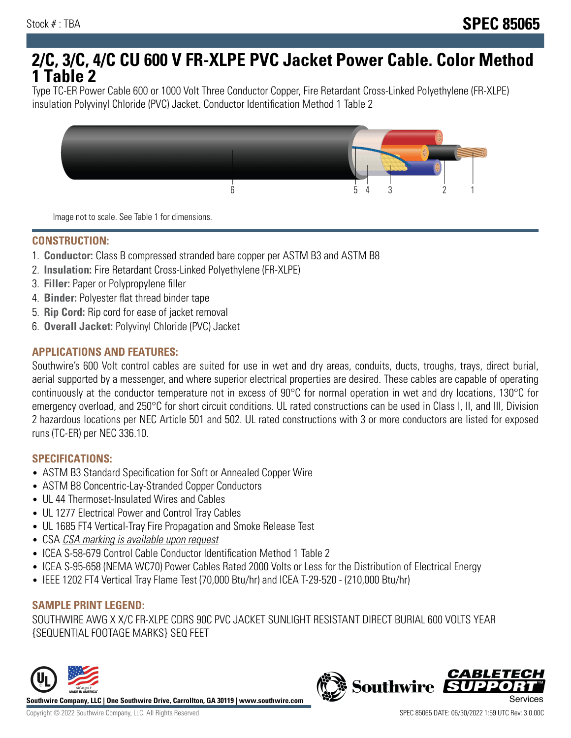# **2/C, 3/C, 4/C CU 600 V FR-XLPE PVC Jacket Power Cable. Color Method 1 Table 2**

Type TC-ER Power Cable 600 or 1000 Volt Three Conductor Copper, Fire Retardant Cross-Linked Polyethylene (FR-XLPE) insulation Polyvinyl Chloride (PVC) Jacket. Conductor Identification Method 1 Table 2



Image not to scale. See Table 1 for dimensions.

#### **CONSTRUCTION:**

- 1. **Conductor:** Class B compressed stranded bare copper per ASTM B3 and ASTM B8
- 2. **Insulation:** Fire Retardant Cross-Linked Polyethylene (FR-XLPE)
- 3. **Filler:** Paper or Polypropylene filler
- 4. **Binder:** Polyester flat thread binder tape
- 5. **Rip Cord:** Rip cord for ease of jacket removal
- 6. **Overall Jacket:** Polyvinyl Chloride (PVC) Jacket

## **APPLICATIONS AND FEATURES:**

Southwire's 600 Volt control cables are suited for use in wet and dry areas, conduits, ducts, troughs, trays, direct burial, aerial supported by a messenger, and where superior electrical properties are desired. These cables are capable of operating continuously at the conductor temperature not in excess of 90°C for normal operation in wet and dry locations, 130°C for emergency overload, and 250°C for short circuit conditions. UL rated constructions can be used in Class I, II, and III, Division 2 hazardous locations per NEC Article 501 and 502. UL rated constructions with 3 or more conductors are listed for exposed runs (TC-ER) per NEC 336.10.

#### **SPECIFICATIONS:**

- ASTM B3 Standard Specification for Soft or Annealed Copper Wire
- ASTM B8 Concentric-Lay-Stranded Copper Conductors
- UL 44 Thermoset-Insulated Wires and Cables
- UL 1277 Electrical Power and Control Tray Cables
- UL 1685 FT4 Vertical-Tray Fire Propagation and Smoke Release Test
- CSA CSA marking is available upon request
- ICEA S-58-679 Control Cable Conductor Identification Method 1 Table 2
- ICEA S-95-658 (NEMA WC70) Power Cables Rated 2000 Volts or Less for the Distribution of Electrical Energy
- IEEE 1202 FT4 Vertical Tray Flame Test (70,000 Btu/hr) and ICEA T-29-520 (210,000 Btu/hr)

#### **SAMPLE PRINT LEGEND:**

SOUTHWIRE AWG X X/C FR-XLPE CDRS 90C PVC JACKET SUNLIGHT RESISTANT DIRECT BURIAL 600 VOLTS YEAR {SEQUENTIAL FOOTAGE MARKS} SEQ FEET